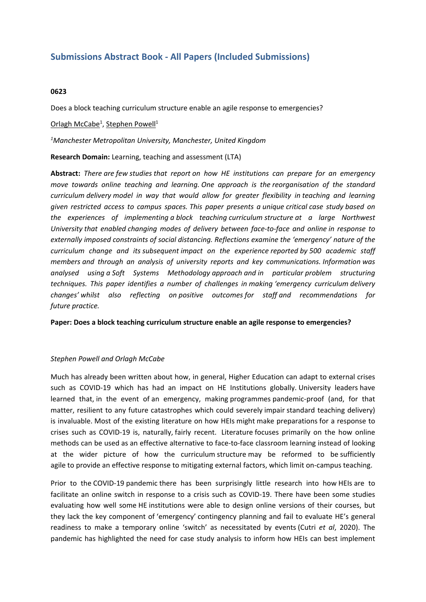## **Submissions Abstract Book - All Papers (Included Submissions)**

## **0623**

Does <sup>a</sup> block teaching curriculum structure enable an agile response to emergencies?

Orlagh McCabe<sup>1</sup>, Stephen Powell<sup>1</sup>

*<sup>1</sup>Manchester Metropolitan University, Manchester, United Kingdom*

**Research Domain:** Learning, teaching and assessment (LTA)

**Abstract:** *There are few studies that report on how HE institutions can prepare for an emergency move towards online teaching and learning. One approach is the reorganisation of the standard curriculum delivery model in way that would allow for greater flexibility in teaching and learning given restricted access to campus spaces. This paper presents a unique critical case study based on the experiences of implementing a block teaching curriculum structure at <sup>a</sup> large Northwest University that enabled changing modes of delivery between face-to-face and online in response to externally imposed constraints of social distancing. Reflections examine the 'emergency' nature of the curriculum change and its subsequent impact on the experience reported by 500 academic staff members and through an analysis of university reports and key communications. Information was analysed using a Soft Systems Methodology approach and in particular problem structuring techniques. This paper identifies <sup>a</sup> number of challenges in making 'emergency curriculum delivery changes' whilst also reflecting on positive outcomes for staff and recommendations for future practice.*

**Paper: Does a block teaching curriculum structure enable an agile response to emergencies?**

## *Stephen Powell and Orlagh McCabe*

Much has already been written about how, in general, Higher Education can adapt to external crises such as COVID-19 which has had an impact on HE Institutions globally. University leaders have learned that, in the event of an emergency, making programmes pandemic-proof (and, for that matter, resilient to any future catastrophes which could severely impair standard teaching delivery) is invaluable. Most of the existing literature on how HEIs might make preparations for <sup>a</sup> response to crises such as COVID-19 is, naturally, fairly recent. Literature focuses primarily on the how online methods can be used as an effective alternative to face-to-face classroom learning instead of looking at the wider picture of how the curriculum structure may be reformed to be sufficiently agile to provide an effective response to mitigating external factors, which limit on-campus teaching.

Prior to the COVID-19 pandemic there has been surprisingly little research into how HEIs are to facilitate an online switch in response to <sup>a</sup> crisis such as COVID-19. There have been some studies evaluating how well some HE institutions were able to design online versions of their courses, but they lack the key component of 'emergency' contingency planning and fail to evaluate HE's general readiness to make <sup>a</sup> temporary online 'switch' as necessitated by events (Cutri *et al*, 2020). The pandemic has highlighted the need for case study analysis to inform how HEIs can best implement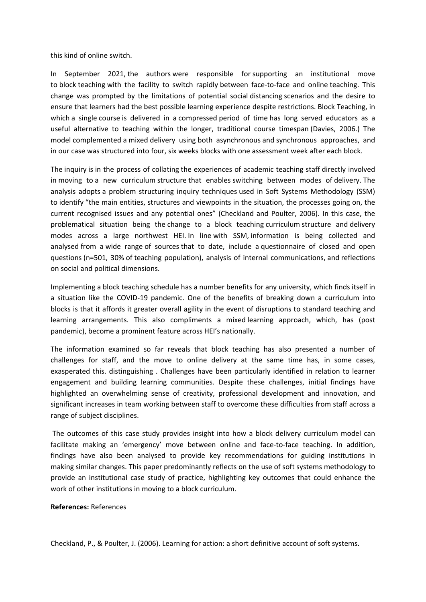this kind of online switch.

In September 2021, the authors were responsible for supporting an institutional move to block teaching with the facility to switch rapidly between face-to-face and online teaching. This change was prompted by the limitations of potential social distancing scenarios and the desire to ensure that learners had the best possible learning experience despite restrictions. Block Teaching, in which a single course is delivered in a compressed period of time has long served educators as <sup>a</sup> useful alternative to teaching within the longer, traditional course timespan (Davies, 2006.) The model complemented a mixed delivery using both asynchronous and synchronous approaches, and in our case was structured into four, six weeks blocks with one assessment week after each block.

The inquiry is in the process of collating the experiences of academic teaching staff directly involved in moving to a new curriculum structure that enables switching between modes of delivery. The analysis adopts a problem structuring inquiry techniques used in Soft Systems Methodology (SSM) to identify "the main entities, structures and viewpoints in the situation, the processes going on, the current recognised issues and any potential ones" (Checkland and Poulter, 2006). In this case, the problematical situation being the change to <sup>a</sup> block teaching curriculum structure and delivery modes across <sup>a</sup> large northwest HEI. In line with SSM, information is being collected and analysed from a wide range of sources that to date, include a questionnaire of closed and open questions (n=501, 30% of teaching population), analysis of internal communications, and reflections on social and political dimensions.

Implementing <sup>a</sup> block teaching schedule has <sup>a</sup> number benefits for any university, which finds itself in <sup>a</sup> situation like the COVID-19 pandemic. One of the benefits of breaking down <sup>a</sup> curriculum into blocks is that it affords it greater overall agility in the event of disruptions to standard teaching and learning arrangements. This also compliments <sup>a</sup> mixed learning approach, which, has (post pandemic), become <sup>a</sup> prominent feature across HEI's nationally.

The information examined so far reveals that block teaching has also presented <sup>a</sup> number of challenges for staff, and the move to online delivery at the same time has, in some cases, exasperated this. distinguishing . Challenges have been particularly identified in relation to learner engagement and building learning communities. Despite these challenges, initial findings have highlighted an overwhelming sense of creativity, professional development and innovation, and significant increases in team working between staff to overcome these difficulties from staff across <sup>a</sup> range of subject disciplines.

 The outcomes of this case study provides insight into how <sup>a</sup> block delivery curriculum model can facilitate making an 'emergency' move between online and face-to-face teaching. In addition, findings have also been analysed to provide key recommendations for guiding institutions in making similar changes. This paper predominantly reflects on the use of soft systems methodology to provide an institutional case study of practice, highlighting key outcomes that could enhance the work of other institutions in moving to <sup>a</sup> block curriculum.

## **References:** References

Checkland, P., & Poulter, J. (2006). Learning for action: a short definitive account of soft systems.